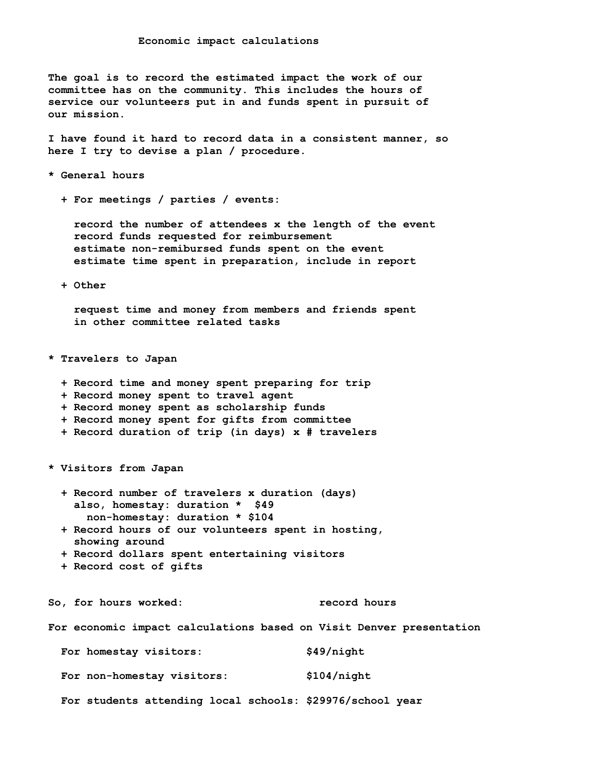**The goal is to record the estimated impact the work of our committee has on the community. This includes the hours of service our volunteers put in and funds spent in pursuit of our mission.** 

 **I have found it hard to record data in a consistent manner, so here I try to devise a plan / procedure.** 

 **\* General hours** 

 **+ For meetings / parties / events:** 

 **record the number of attendees x the length of the event record funds requested for reimbursement estimate non-remibursed funds spent on the event estimate time spent in preparation, include in report**

 **+ Other** 

 **request time and money from members and friends spent in other committee related tasks**

 **\* Travelers to Japan** 

- **+ Record time and money spent preparing for trip**
- **+ Record money spent to travel agent**
- **+ Record money spent as scholarship funds**
- **+ Record money spent for gifts from committee**
- **+ Record duration of trip (in days) x # travelers**

 **\* Visitors from Japan**

- **+ Record number of travelers x duration (days) also, homestay: duration \* \$49 non-homestay: duration \* \$104**
- **+ Record hours of our volunteers spent in hosting, showing around**
- **+ Record dollars spent entertaining visitors**
- **+ Record cost of gifts**

So, for hours worked: The record hours

 **For economic impact calculations based on Visit Denver presentation**

|  | For homestay visitors:     |  | \$49/night                                                |  |
|--|----------------------------|--|-----------------------------------------------------------|--|
|  | For non-homestay visitors: |  | \$104/night                                               |  |
|  |                            |  | For students attending local schools: \$29976/school year |  |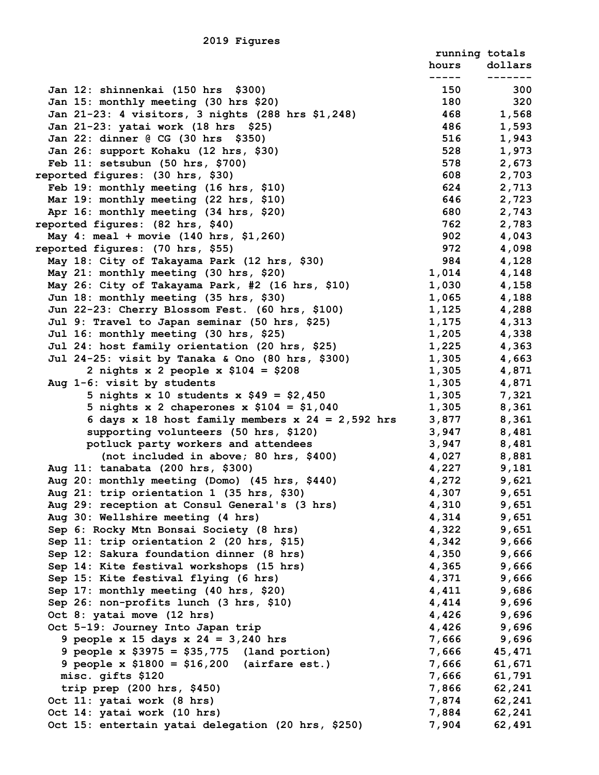|                                                                              | running totals |                |
|------------------------------------------------------------------------------|----------------|----------------|
|                                                                              | hours          | dollars        |
|                                                                              | 150            | 300            |
| Jan 12: shinnenkai (150 hrs \$300)<br>Jan 15: monthly meeting (30 hrs \$20)  | 180            | 320            |
| Jan 21-23: 4 visitors, 3 nights (288 hrs \$1,248)                            | 468            | 1,568          |
| Jan 21-23: yatai work (18 hrs \$25)                                          | 486            | 1,593          |
| Jan 22: dinner @ CG (30 hrs \$350)                                           | 516            | 1,943          |
| Jan 26: support Kohaku (12 hrs, \$30)                                        | 528            | 1,973          |
| Feb 11: setsubun (50 hrs, \$700)                                             | 578            | 2,673          |
| reported figures: (30 hrs, \$30)                                             | 608            | 2,703          |
| Feb 19: monthly meeting (16 hrs, \$10)                                       | 624            | 2,713          |
| Mar 19: monthly meeting (22 hrs, \$10)                                       | 646            | 2,723          |
| Apr 16: monthly meeting (34 hrs, \$20)                                       | 680            | 2,743          |
| reported figures: (82 hrs, \$40)                                             | 762            | 2,783          |
| May 4: meal + movie (140 hrs, \$1,260)                                       | 902            | 4,043          |
| reported figures: (70 hrs, \$55)                                             | 972            | 4,098          |
| May 18: City of Takayama Park (12 hrs, \$30)                                 | 984            | 4,128          |
| May 21: monthly meeting (30 hrs, \$20)                                       | 1,014          | 4,148          |
| May 26: City of Takayama Park, #2 (16 hrs, \$10)                             | 1,030          | 4,158          |
| Jun 18: monthly meeting (35 hrs, \$30)                                       | 1,065          | 4,188          |
| Jun 22-23: Cherry Blossom Fest. (60 hrs, \$100)                              | 1,125          | 4,288          |
| Jul 9: Travel to Japan seminar (50 hrs, \$25)                                | 1,175          | 4,313          |
| Jul 16: monthly meeting (30 hrs, \$25)                                       | 1,205          | 4,338          |
| Jul 24: host family orientation (20 hrs, \$25)                               | 1,225          | 4,363          |
| Jul 24-25: visit by Tanaka & Ono (80 hrs, \$300)                             | 1,305          | 4,663          |
| 2 nights x 2 people x $$104 = $208$                                          | 1,305          | 4,871          |
| Aug 1-6: visit by students                                                   | 1,305          | 4,871          |
| 5 nights x 10 students x $$49 = $2,450$                                      | 1,305          | 7,321          |
| 5 nights x 2 chaperones x $$104 = $1,040$                                    | 1,305          | 8,361          |
| 6 days x 18 host family members x $24 = 2,592$ hrs                           | 3,877          | 8,361          |
| supporting volunteers (50 hrs, \$120)<br>potluck party workers and attendees | 3,947          | 8,481          |
| (not included in above; 80 hrs, \$400)                                       | 3,947<br>4,027 | 8,481<br>8,881 |
| Aug 11: tanabata (200 hrs, \$300)                                            | 4,227          | 9,181          |
| Aug 20: monthly meeting (Domo) (45 hrs, \$440)                               | 4,272          | 9,621          |
| Aug 21: trip orientation 1 (35 hrs, \$30)                                    | 4,307          | 9,651          |
| Aug 29: reception at Consul General's (3 hrs)                                | 4,310          | 9,651          |
| Aug 30: Wellshire meeting (4 hrs)                                            | 4,314          | 9,651          |
| Sep 6: Rocky Mtn Bonsai Society (8 hrs)                                      | 4,322          | 9,651          |
| Sep 11: trip orientation 2 (20 hrs, \$15)                                    | 4,342          | 9,666          |
| Sep 12: Sakura foundation dinner (8 hrs)                                     | 4,350          | 9,666          |
| Sep 14: Kite festival workshops (15 hrs)                                     | 4,365          | 9,666          |
| Sep 15: Kite festival flying (6 hrs)                                         | 4,371          | 9,666          |
| Sep 17: monthly meeting (40 hrs, \$20)                                       | 4,411          | 9,686          |
| Sep 26: non-profits lunch (3 hrs, \$10)                                      | 4,414          | 9,696          |
| Oct 8: yatai move (12 hrs)                                                   | 4,426          | 9,696          |
| Oct 5-19: Journey Into Japan trip                                            | 4,426          | 9,696          |
| 9 people x 15 days x $24 = 3,240$ hrs                                        | 7,666          | 9,696          |
| 9 people $x$ \$3975 = \$35,775 (land portion)                                | 7,666          | 45,471         |
| 9 people x $$1800 = $16,200$ (airfare est.)                                  | 7,666          | 61,671         |
| misc. gifts \$120                                                            | 7,666          | 61,791         |
| trip prep $(200$ hrs, \$450)                                                 | 7,866          | 62,241         |
| Oct 11: yatai work (8 hrs)                                                   | 7,874          | 62,241         |
| Oct 14: yatai work (10 hrs)                                                  | 7,884          | 62,241         |
| Oct 15: entertain yatai delegation (20 hrs, \$250)                           | 7,904          | 62,491         |